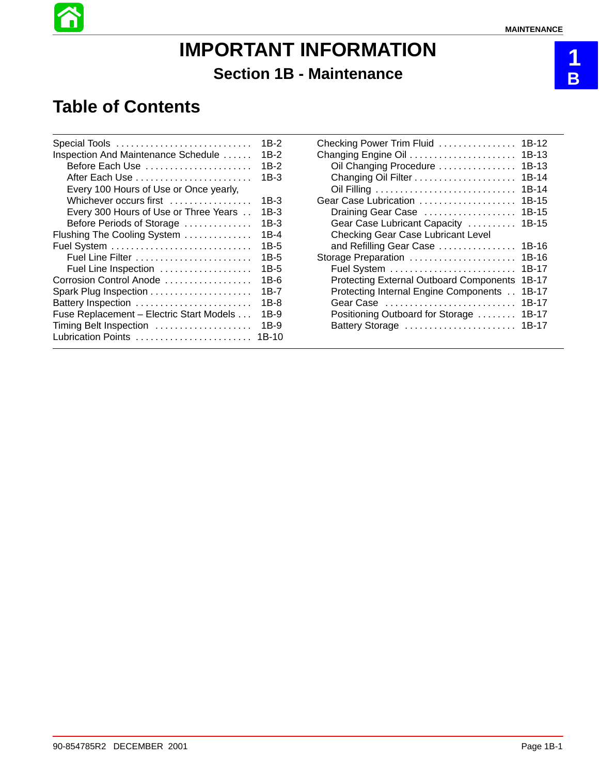# **IMPORTANT INFORMATION Section 1B - Maintenance**

## **Table of Contents**

| Special Tools                            | 1B-2    |
|------------------------------------------|---------|
| Inspection And Maintenance Schedule      | 1B-2    |
| Before Each Use                          | 1B-2    |
|                                          | 1B-3    |
| Every 100 Hours of Use or Once yearly,   |         |
| Whichever occurs first                   | 1B-3    |
| Every 300 Hours of Use or Three Years    | 1B-3    |
| Before Periods of Storage                | 1B-3    |
| Flushing The Cooling System              | 1B-4    |
|                                          | $1B-5$  |
|                                          | $1B-5$  |
| Fuel Line Inspection                     | 1B-5    |
| Corrosion Control Anode                  | 1B-6    |
|                                          | 1B-7    |
| Battery Inspection                       | 1B-8    |
| Fuse Replacement - Electric Start Models | 1B-9    |
| Timing Belt Inspection                   | 1B-9    |
| Lubrication Points                       | $1B-10$ |
|                                          |         |

| Checking Power Trim Fluid                      | 1B-12   |
|------------------------------------------------|---------|
| Changing Engine Oil                            | 1B-13   |
| Oil Changing Procedure                         | $1B-13$ |
|                                                | $1B-14$ |
|                                                | 1B-14   |
| Gear Case Lubrication                          | 1B-15   |
| Draining Gear Case                             | 1B-15   |
| Gear Case Lubricant Capacity                   | 1B-15   |
| <b>Checking Gear Case Lubricant Level</b>      |         |
| and Refilling Gear Case                        | 1B-16   |
| Storage Preparation                            | 1B-16   |
|                                                | 1B-17   |
| <b>Protecting External Outboard Components</b> | 1B-17   |
| Protecting Internal Engine Components          | 1B-17   |
|                                                | 1B-17   |
| Positioning Outboard for Storage               | 1B-17   |
| Battery Storage                                | 1B-17   |
|                                                |         |

**1 B**

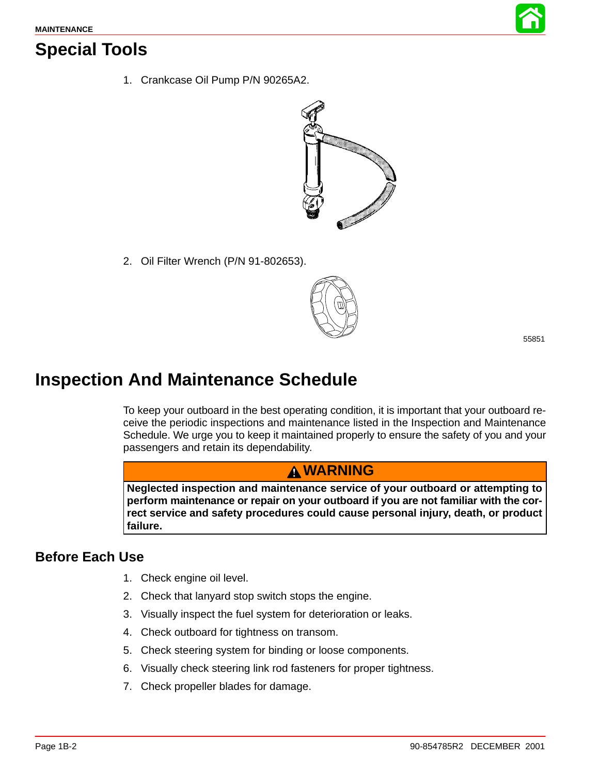

## **Special Tools**

1. Crankcase Oil Pump P/N 90265A2.



2. Oil Filter Wrench (P/N 91-802653).



55851

## **Inspection And Maintenance Schedule**

To keep your outboard in the best operating condition, it is important that your outboard receive the periodic inspections and maintenance listed in the Inspection and Maintenance Schedule. We urge you to keep it maintained properly to ensure the safety of you and your passengers and retain its dependability.

## **WARNING**

**Neglected inspection and maintenance service of your outboard or attempting to perform maintenance or repair on your outboard if you are not familiar with the correct service and safety procedures could cause personal injury, death, or product failure.**

### **Before Each Use**

- 1. Check engine oil level.
- 2. Check that lanyard stop switch stops the engine.
- 3. Visually inspect the fuel system for deterioration or leaks.
- 4. Check outboard for tightness on transom.
- 5. Check steering system for binding or loose components.
- 6. Visually check steering link rod fasteners for proper tightness.
- 7. Check propeller blades for damage.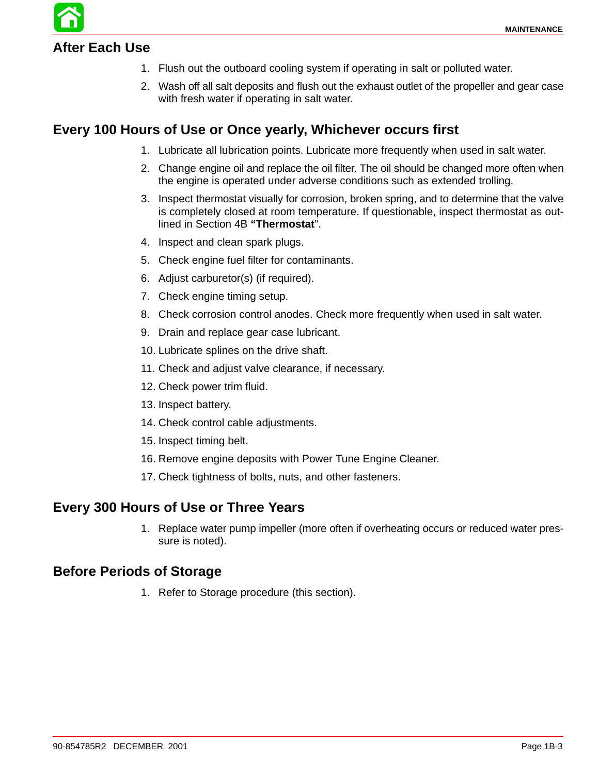## **After Each Use**

- 1. Flush out the outboard cooling system if operating in salt or polluted water.
- 2. Wash off all salt deposits and flush out the exhaust outlet of the propeller and gear case with fresh water if operating in salt water.

### **Every 100 Hours of Use or Once yearly, Whichever occurs first**

- 1. Lubricate all lubrication points. Lubricate more frequently when used in salt water.
- 2. Change engine oil and replace the oil filter. The oil should be changed more often when the engine is operated under adverse conditions such as extended trolling.
- 3. Inspect thermostat visually for corrosion, broken spring, and to determine that the valve is completely closed at room temperature. If questionable, inspect thermostat as outlined in Section 4B **"Thermostat**".
- 4. Inspect and clean spark plugs.
- 5. Check engine fuel filter for contaminants.
- 6. Adjust carburetor(s) (if required).
- 7. Check engine timing setup.
- 8. Check corrosion control anodes. Check more frequently when used in salt water.
- 9. Drain and replace gear case lubricant.
- 10. Lubricate splines on the drive shaft.
- 11. Check and adjust valve clearance, if necessary.
- 12. Check power trim fluid.
- 13. Inspect battery.
- 14. Check control cable adjustments.
- 15. Inspect timing belt.
- 16. Remove engine deposits with Power Tune Engine Cleaner.
- 17. Check tightness of bolts, nuts, and other fasteners.

#### **Every 300 Hours of Use or Three Years**

1. Replace water pump impeller (more often if overheating occurs or reduced water pressure is noted).

#### **Before Periods of Storage**

1. Refer to Storage procedure (this section).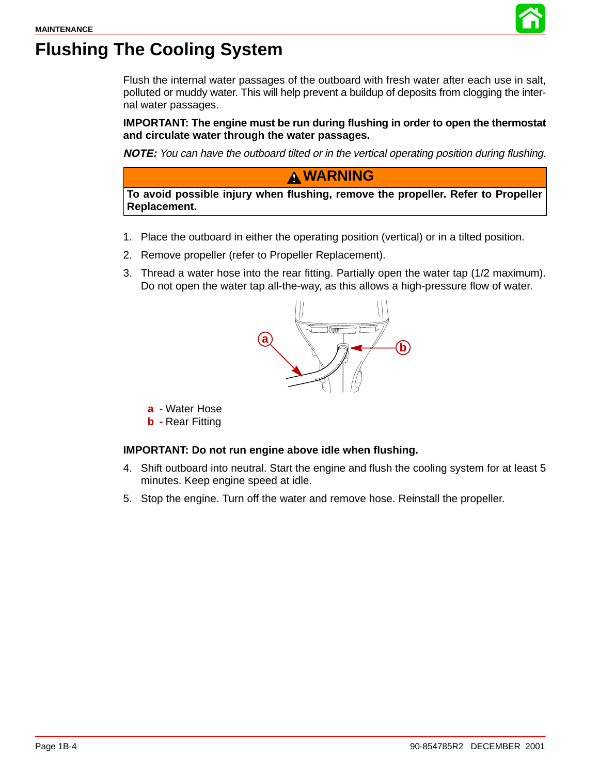

# <span id="page-3-0"></span>**Flushing The Cooling System**

Flush the internal water passages of the outboard with fresh water after each use in salt, polluted or muddy water. This will help prevent a buildup of deposits from clogging the internal water passages.

**IMPORTANT: The engine must be run during flushing in order to open the thermostat and circulate water through the water passages.**

**NOTE:** You can have the outboard tilted or in the vertical operating position during flushing.

### **WARNING**

**To avoid possible injury when flushing, remove the propeller. Refer to Propeller Replacement.**

- 1. Place the outboard in either the operating position (vertical) or in a tilted position.
- 2. Remove propeller (refer to Propeller Replacement).
- 3. Thread a water hose into the rear fitting. Partially open the water tap (1/2 maximum). Do not open the water tap all-the-way, as this allows a high-pressure flow of water.



**a -** Water Hose

**b -** Rear Fitting

#### **IMPORTANT: Do not run engine above idle when flushing.**

- 4. Shift outboard into neutral. Start the engine and flush the cooling system for at least 5 minutes. Keep engine speed at idle.
- 5. Stop the engine. Turn off the water and remove hose. Reinstall the propeller.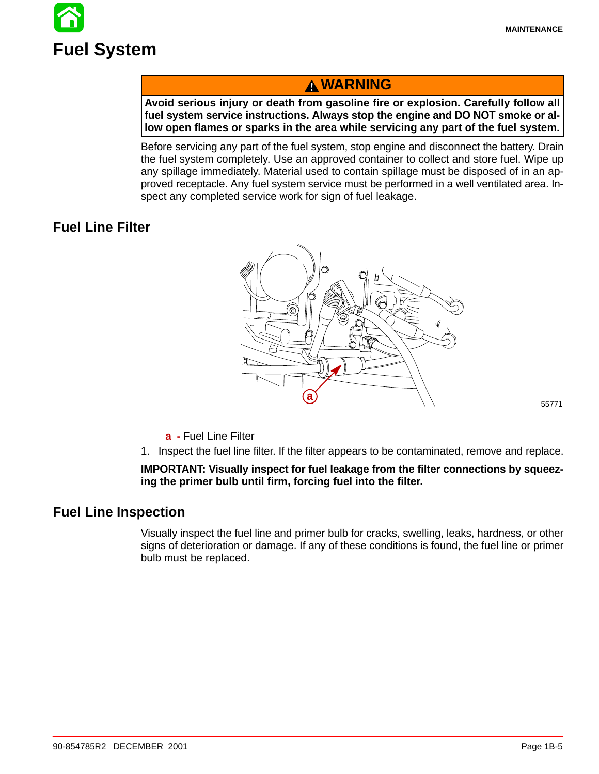

## **WARNING**

**Avoid serious injury or death from gasoline fire or explosion. Carefully follow all fuel system service instructions. Always stop the engine and DO NOT smoke or allow open flames or sparks in the area while servicing any part of the fuel system.**

Before servicing any part of the fuel system, stop engine and disconnect the battery. Drain the fuel system completely. Use an approved container to collect and store fuel. Wipe up any spillage immediately. Material used to contain spillage must be disposed of in an approved receptacle. Any fuel system service must be performed in a well ventilated area. Inspect any completed service work for sign of fuel leakage.

## **Fuel Line Filter**



55771

- **a -** Fuel Line Filter
- 1. Inspect the fuel line filter. If the filter appears to be contaminated, remove and replace.

#### **IMPORTANT: Visually inspect for fuel leakage from the filter connections by squeezing the primer bulb until firm, forcing fuel into the filter.**

#### **Fuel Line Inspection**

Visually inspect the fuel line and primer bulb for cracks, swelling, leaks, hardness, or other signs of deterioration or damage. If any of these conditions is found, the fuel line or primer bulb must be replaced.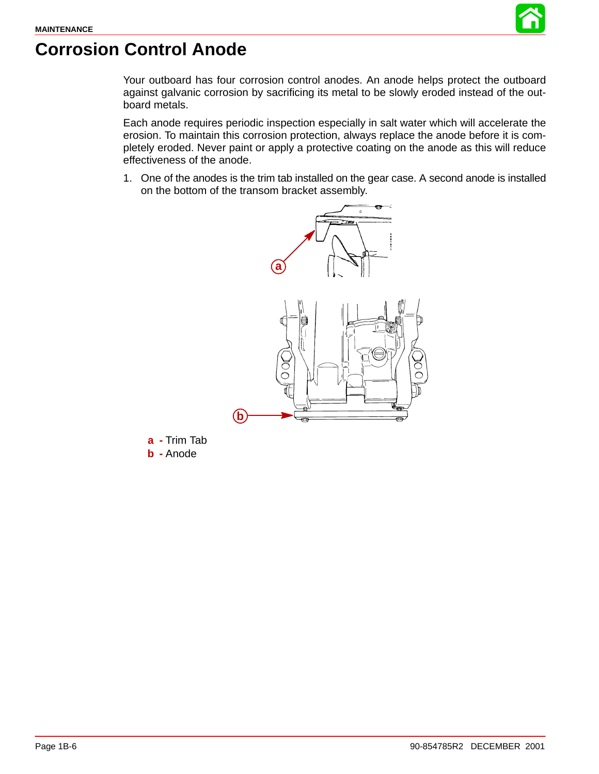

# **Corrosion Control Anode**

Your outboard has four corrosion control anodes. An anode helps protect the outboard against galvanic corrosion by sacrificing its metal to be slowly eroded instead of the outboard metals.

Each anode requires periodic inspection especially in salt water which will accelerate the erosion. To maintain this corrosion protection, always replace the anode before it is completely eroded. Never paint or apply a protective coating on the anode as this will reduce effectiveness of the anode.

1. One of the anodes is the trim tab installed on the gear case. A second anode is installed on the bottom of the transom bracket assembly.



**a -** Trim Tab **b -** Anode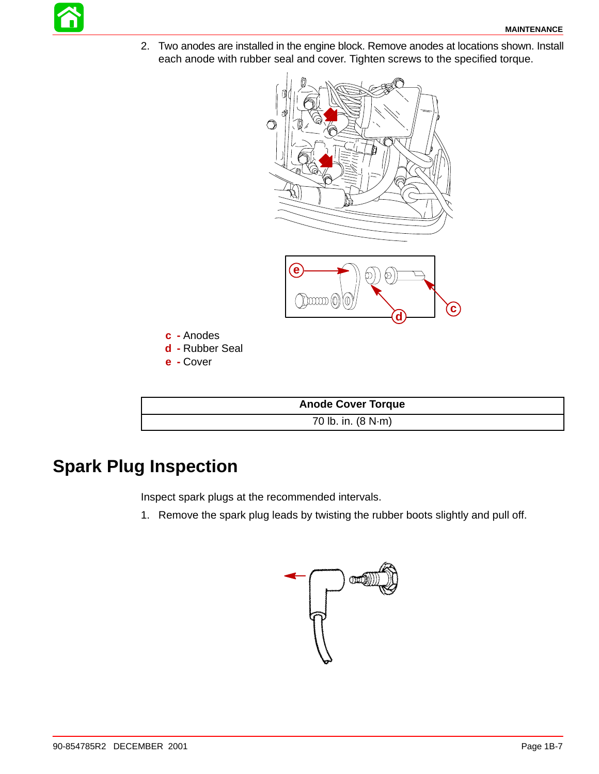2. Two anodes are installed in the engine block. Remove anodes at locations shown. Install each anode with rubber seal and cover. Tighten screws to the specified torque.



| <b>Anode Cover Torque</b> |  |
|---------------------------|--|
| 70 lb. in. (8 N·m)        |  |

# **Spark Plug Inspection**

Inspect spark plugs at the recommended intervals.

1. Remove the spark plug leads by twisting the rubber boots slightly and pull off.

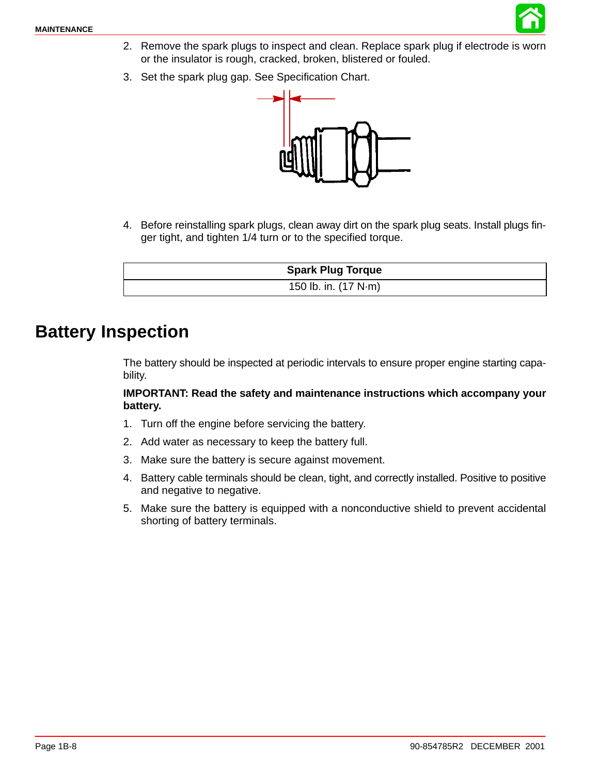

- 2. Remove the spark plugs to inspect and clean. Replace spark plug if electrode is worn or the insulator is rough, cracked, broken, blistered or fouled.
- 3. Set the spark plug gap. See Specification Chart.



4. Before reinstalling spark plugs, clean away dirt on the spark plug seats. Install plugs finger tight, and tighten 1/4 turn or to the specified torque.

| <b>Spark Plug Torque</b> |
|--------------------------|
| 150 lb. in. (17 N·m)     |

## **Battery Inspection**

The battery should be inspected at periodic intervals to ensure proper engine starting capability.

#### **IMPORTANT: Read the safety and maintenance instructions which accompany your battery.**

- 1. Turn off the engine before servicing the battery.
- 2. Add water as necessary to keep the battery full.
- 3. Make sure the battery is secure against movement.
- 4. Battery cable terminals should be clean, tight, and correctly installed. Positive to positive and negative to negative.
- 5. Make sure the battery is equipped with a nonconductive shield to prevent accidental shorting of battery terminals.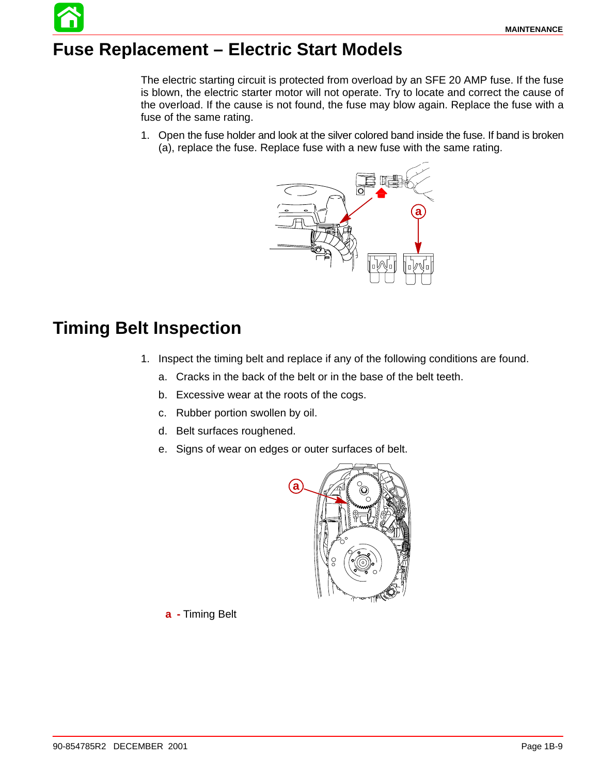# **Fuse Replacement – Electric Start Models**

The electric starting circuit is protected from overload by an SFE 20 AMP fuse. If the fuse is blown, the electric starter motor will not operate. Try to locate and correct the cause of the overload. If the cause is not found, the fuse may blow again. Replace the fuse with a fuse of the same rating.

1. Open the fuse holder and look at the silver colored band inside the fuse. If band is broken (a), replace the fuse. Replace fuse with a new fuse with the same rating.



## **Timing Belt Inspection**

- 1. Inspect the timing belt and replace if any of the following conditions are found.
	- a. Cracks in the back of the belt or in the base of the belt teeth.
	- b. Excessive wear at the roots of the cogs.
	- c. Rubber portion swollen by oil.
	- d. Belt surfaces roughened.
	- e. Signs of wear on edges or outer surfaces of belt.



**a -** Timing Belt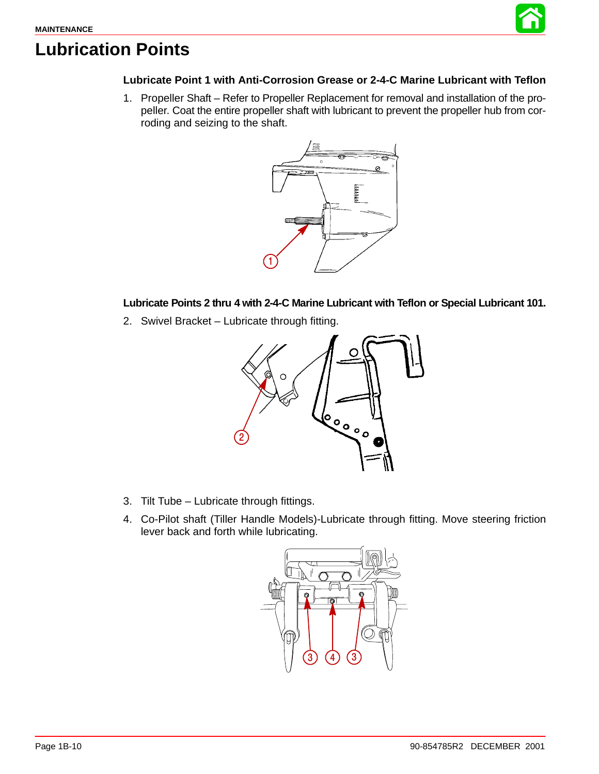

# **Lubrication Points**

#### **Lubricate Point 1 with Anti-Corrosion Grease or 2-4-C Marine Lubricant with Teflon**

1. Propeller Shaft – Refer to Propeller Replacement for removal and installation of the propeller. Coat the entire propeller shaft with lubricant to prevent the propeller hub from corroding and seizing to the shaft.



**Lubricate Points 2 thru 4 with 2-4-C Marine Lubricant with Teflon or Special Lubricant 101.**

2. Swivel Bracket – Lubricate through fitting.



- 3. Tilt Tube Lubricate through fittings.
- 4. Co-Pilot shaft (Tiller Handle Models)-Lubricate through fitting. Move steering friction lever back and forth while lubricating.

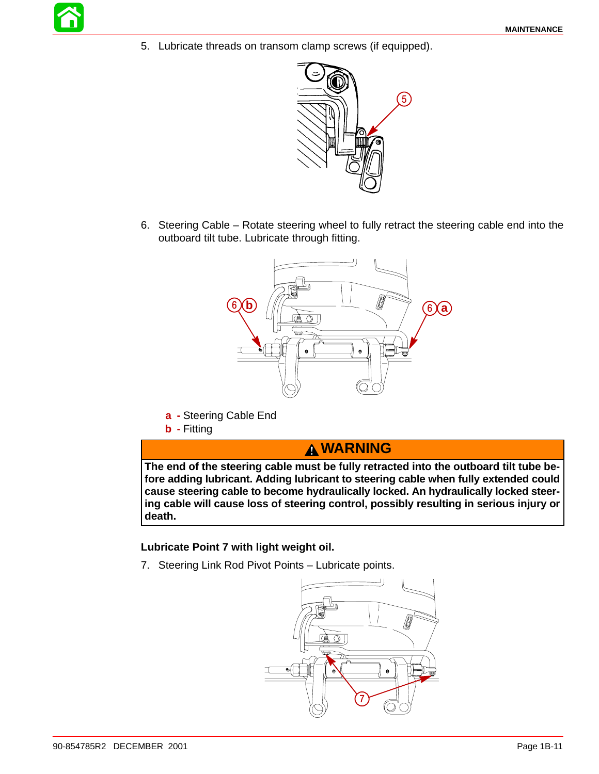5. Lubricate threads on transom clamp screws (if equipped).



6. Steering Cable – Rotate steering wheel to fully retract the steering cable end into the outboard tilt tube. Lubricate through fitting.



- **a -** Steering Cable End
- **b -** Fitting

## **WARNING**

**The end of the steering cable must be fully retracted into the outboard tilt tube before adding lubricant. Adding lubricant to steering cable when fully extended could cause steering cable to become hydraulically locked. An hydraulically locked steering cable will cause loss of steering control, possibly resulting in serious injury or death.**

#### **Lubricate Point 7 with light weight oil.**

7. Steering Link Rod Pivot Points – Lubricate points.

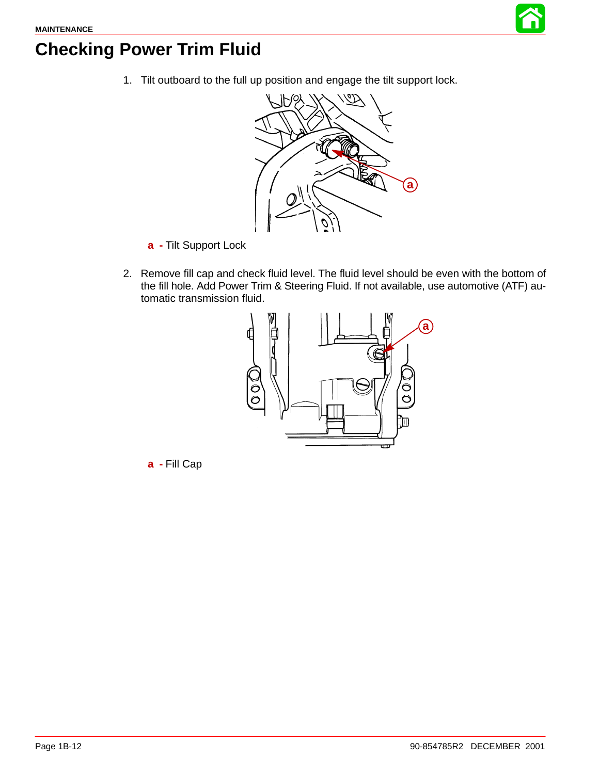

# **Checking Power Trim Fluid**

1. Tilt outboard to the full up position and engage the tilt support lock.



- **a -** Tilt Support Lock
- 2. Remove fill cap and check fluid level. The fluid level should be even with the bottom of the fill hole. Add Power Trim & Steering Fluid. If not available, use automotive (ATF) automatic transmission fluid.



**a -** Fill Cap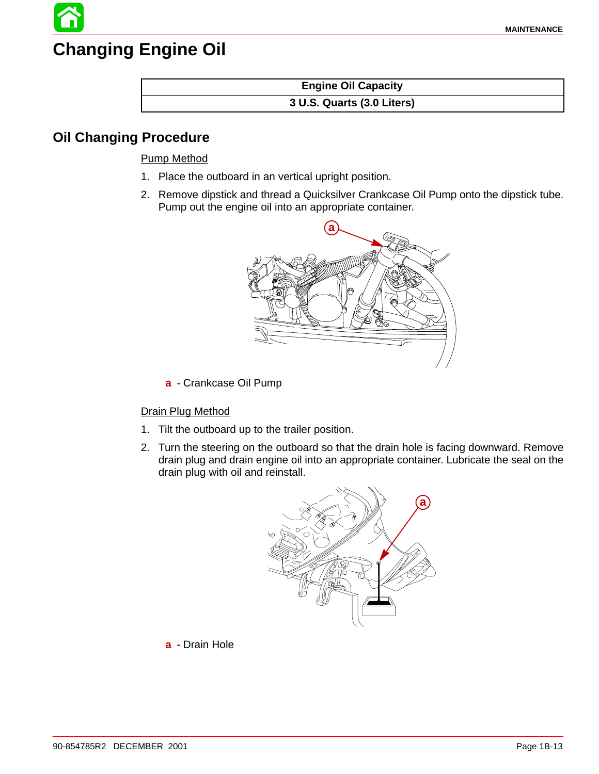# **Changing Engine Oil**

#### **Engine Oil Capacity 3 U.S. Quarts (3.0 Liters)**

### **Oil Changing Procedure**

#### Pump Method

- 1. Place the outboard in an vertical upright position.
- 2. Remove dipstick and thread a Quicksilver Crankcase Oil Pump onto the dipstick tube. Pump out the engine oil into an appropriate container.



**a -** Crankcase Oil Pump

#### Drain Plug Method

- 1. Tilt the outboard up to the trailer position.
- 2. Turn the steering on the outboard so that the drain hole is facing downward. Remove drain plug and drain engine oil into an appropriate container. Lubricate the seal on the drain plug with oil and reinstall.



**a -** Drain Hole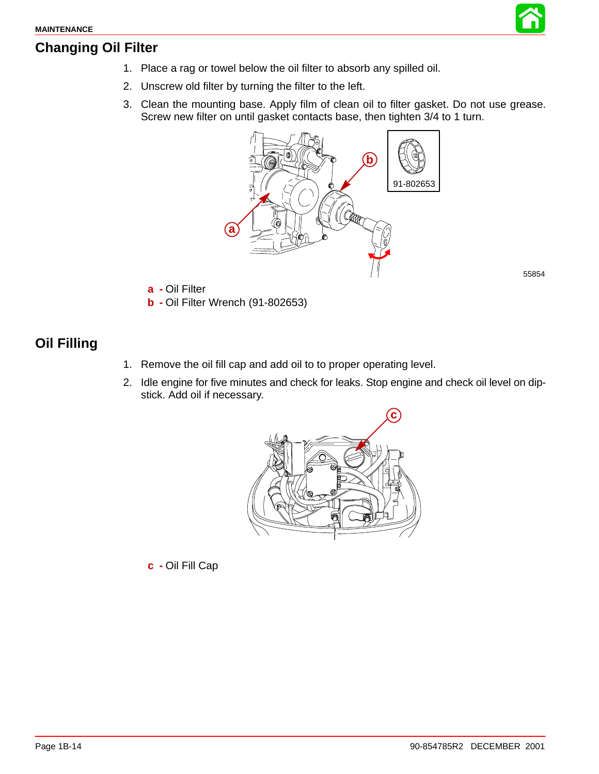## **Changing Oil Filter**



- 2. Unscrew old filter by turning the filter to the left.
- 3. Clean the mounting base. Apply film of clean oil to filter gasket. Do not use grease. Screw new filter on until gasket contacts base, then tighten 3/4 to 1 turn.



55854

- **a -** Oil Filter
- **b -** Oil Filter Wrench (91-802653)

## **Oil Filling**

- 1. Remove the oil fill cap and add oil to to proper operating level.
- 2. Idle engine for five minutes and check for leaks. Stop engine and check oil level on dipstick. Add oil if necessary.



**c -** Oil Fill Cap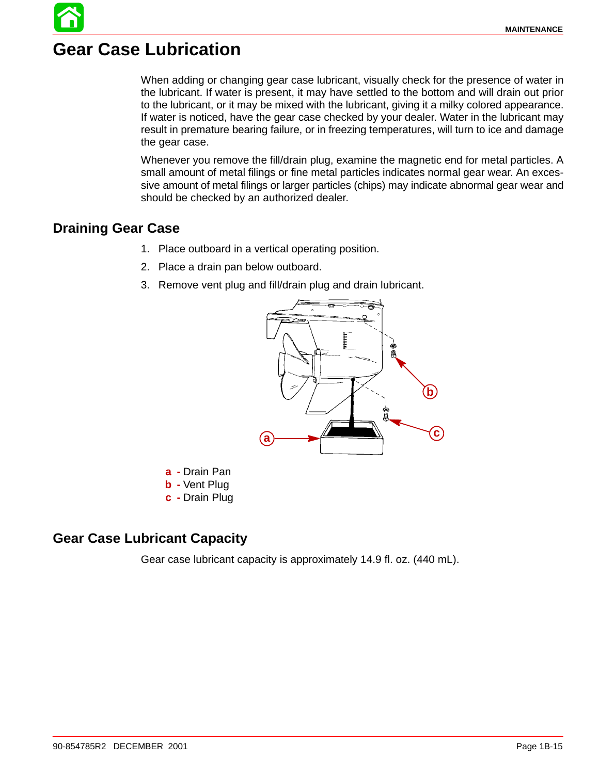## **Gear Case Lubrication**

When adding or changing gear case lubricant, visually check for the presence of water in the lubricant. If water is present, it may have settled to the bottom and will drain out prior to the lubricant, or it may be mixed with the lubricant, giving it a milky colored appearance. If water is noticed, have the gear case checked by your dealer. Water in the lubricant may result in premature bearing failure, or in freezing temperatures, will turn to ice and damage the gear case.

Whenever you remove the fill/drain plug, examine the magnetic end for metal particles. A small amount of metal filings or fine metal particles indicates normal gear wear. An excessive amount of metal filings or larger particles (chips) may indicate abnormal gear wear and should be checked by an authorized dealer.

### **Draining Gear Case**

- 1. Place outboard in a vertical operating position.
- 2. Place a drain pan below outboard.
- 3. Remove vent plug and fill/drain plug and drain lubricant.



- **a -** Drain Pan
- **b -** Vent Plug
- **c -** Drain Plug

### **Gear Case Lubricant Capacity**

Gear case lubricant capacity is approximately 14.9 fl. oz. (440 mL).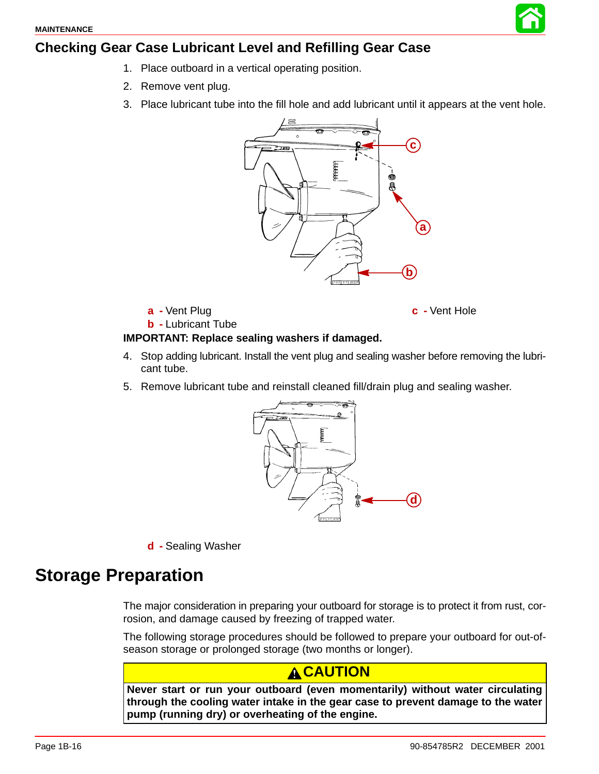## **Checking Gear Case Lubricant Level and Refilling Gear Case**

- 1. Place outboard in a vertical operating position.
- 2. Remove vent plug.
- 3. Place lubricant tube into the fill hole and add lubricant until it appears at the vent hole.



**a -** Vent Plug

**b -** Lubricant Tube

**c -** Vent Hole

#### **IMPORTANT: Replace sealing washers if damaged.**

- 4. Stop adding lubricant. Install the vent plug and sealing washer before removing the lubricant tube.
- 5. Remove lubricant tube and reinstall cleaned fill/drain plug and sealing washer.



**d -** Sealing Washer

## **Storage Preparation**

The major consideration in preparing your outboard for storage is to protect it from rust, corrosion, and damage caused by freezing of trapped water.

The following storage procedures should be followed to prepare your outboard for out-ofseason storage or prolonged storage (two months or longer).

### **CAUTION**

**Never start or run your outboard (even momentarily) without water circulating through the cooling water intake in the gear case to prevent damage to the water pump (running dry) or overheating of the engine.**